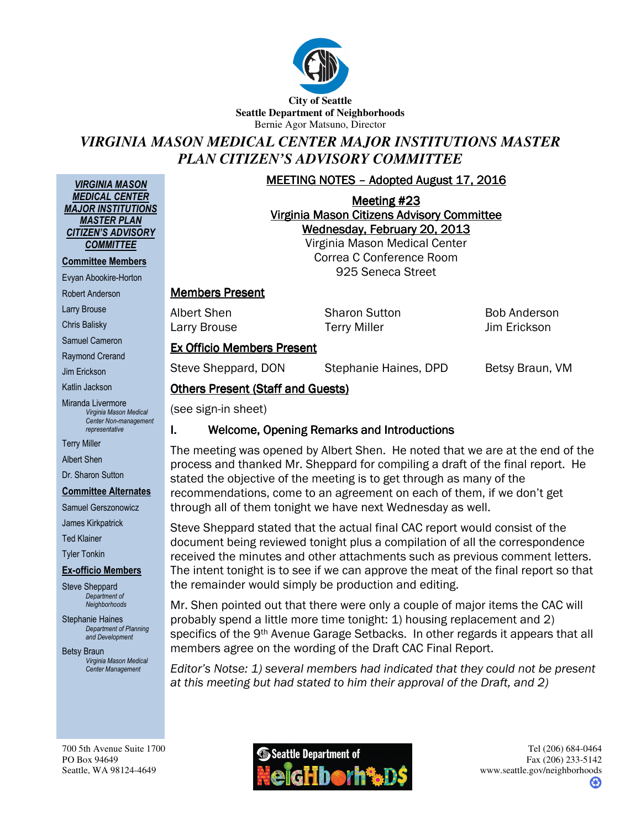

**City of Seattle Seattle Department of Neighborhoods**  Bernie Agor Matsuno, Director

# *VIRGINIA MASON MEDICAL CENTER MAJOR INSTITUTIONS MASTER PLAN CITIZEN'S ADVISORY COMMITTEE*

MEETING NOTES – Adopted August 17, 2016

Meeting #23 Virginia Mason Citizens Advisory Committee Wednesday, February 20, 2013

Virginia Mason Medical Center Correa C Conference Room 925 Seneca Street

#### **Members Present**

Albert Shen Sharon Sutton Bob Anderson Larry Brouse **Terry Miller** Jim Erickson

#### **Ex Officio Members Present**

**Others Present (Staff and Guests)** 

Steve Sheppard, DON Stephanie Haines, DPD Betsy Braun, VM

Jim Erickson Katlin Jackson

VIRGINIA MASON MEDICAL CENTER MAJOR INSTITUTIONS MASTER PLAN CITIZEN'S ADVISORY **COMMITTEE** Committee Members Evyan Abookire-Horton Robert Anderson Larry Brouse Chris Balisky Samuel Cameron Raymond Crerand

Miranda Livermore Virginia Mason Medical Center Non-management representative

Terry Miller

Albert Shen

Dr. Sharon Sutton

#### Committee Alternates

Samuel Gerszonowicz

James Kirkpatrick

Ted Klainer

Tyler Tonkin

#### Ex-officio Members

Steve Sheppard Department of **Neighborhoods** 

Stephanie Haines Department of Planning and Development

Betsy Braun Virginia Mason Medical Center Management

700 5th Avenue Suite 1700 PO Box 94649 Seattle, WA 98124-4649

(see sign-in sheet)

#### I. Welcome, Opening Remarks and Introductions

The meeting was opened by Albert Shen. He noted that we are at the end of the process and thanked Mr. Sheppard for compiling a draft of the final report. He stated the objective of the meeting is to get through as many of the recommendations, come to an agreement on each of them, if we don't get through all of them tonight we have next Wednesday as well.

Steve Sheppard stated that the actual final CAC report would consist of the document being reviewed tonight plus a compilation of all the correspondence received the minutes and other attachments such as previous comment letters. The intent tonight is to see if we can approve the meat of the final report so that the remainder would simply be production and editing.

Mr. Shen pointed out that there were only a couple of major items the CAC will probably spend a little more time tonight: 1) housing replacement and 2) specifics of the 9<sup>th</sup> Avenue Garage Setbacks. In other regards it appears that all members agree on the wording of the Draft CAC Final Report.

Editor's Notse: 1) several members had indicated that they could not be present at this meeting but had stated to him their approval of the Draft, and 2)

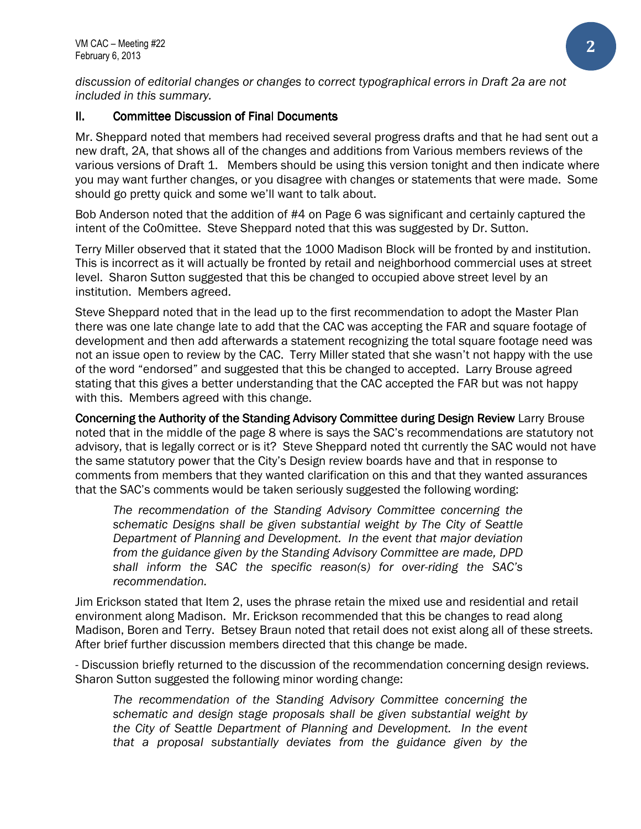discussion of editorial changes or changes to correct typographical errors in Draft 2a are not included in this summary.

## **II.** Committee Discussion of Final Documents

Mr. Sheppard noted that members had received several progress drafts and that he had sent out a new draft, 2A, that shows all of the changes and additions from Various members reviews of the various versions of Draft 1. Members should be using this version tonight and then indicate where you may want further changes, or you disagree with changes or statements that were made. Some should go pretty quick and some we'll want to talk about.

Bob Anderson noted that the addition of #4 on Page 6 was significant and certainly captured the intent of the Co0mittee. Steve Sheppard noted that this was suggested by Dr. Sutton.

Terry Miller observed that it stated that the 1000 Madison Block will be fronted by and institution. This is incorrect as it will actually be fronted by retail and neighborhood commercial uses at street level. Sharon Sutton suggested that this be changed to occupied above street level by an institution. Members agreed.

Steve Sheppard noted that in the lead up to the first recommendation to adopt the Master Plan there was one late change late to add that the CAC was accepting the FAR and square footage of development and then add afterwards a statement recognizing the total square footage need was not an issue open to review by the CAC. Terry Miller stated that she wasn't not happy with the use of the word "endorsed" and suggested that this be changed to accepted. Larry Brouse agreed stating that this gives a better understanding that the CAC accepted the FAR but was not happy with this. Members agreed with this change.

Concerning the Authority of the Standing Advisory Committee during Design Review Larry Brouse noted that in the middle of the page 8 where is says the SAC's recommendations are statutory not advisory, that is legally correct or is it? Steve Sheppard noted tht currently the SAC would not have the same statutory power that the City's Design review boards have and that in response to comments from members that they wanted clarification on this and that they wanted assurances that the SAC's comments would be taken seriously suggested the following wording:

The recommendation of the Standing Advisory Committee concerning the schematic Designs shall be given substantial weight by The City of Seattle Department of Planning and Development. In the event that major deviation from the guidance given by the Standing Advisory Committee are made, DPD shall inform the SAC the specific reason(s) for over-riding the SAC's recommendation.

Jim Erickson stated that Item 2, uses the phrase retain the mixed use and residential and retail environment along Madison. Mr. Erickson recommended that this be changes to read along Madison, Boren and Terry. Betsey Braun noted that retail does not exist along all of these streets. After brief further discussion members directed that this change be made.

- Discussion briefly returned to the discussion of the recommendation concerning design reviews. Sharon Sutton suggested the following minor wording change:

The recommendation of the Standing Advisory Committee concerning the schematic and design stage proposals shall be given substantial weight by the City of Seattle Department of Planning and Development. In the event that a proposal substantially deviates from the guidance given by the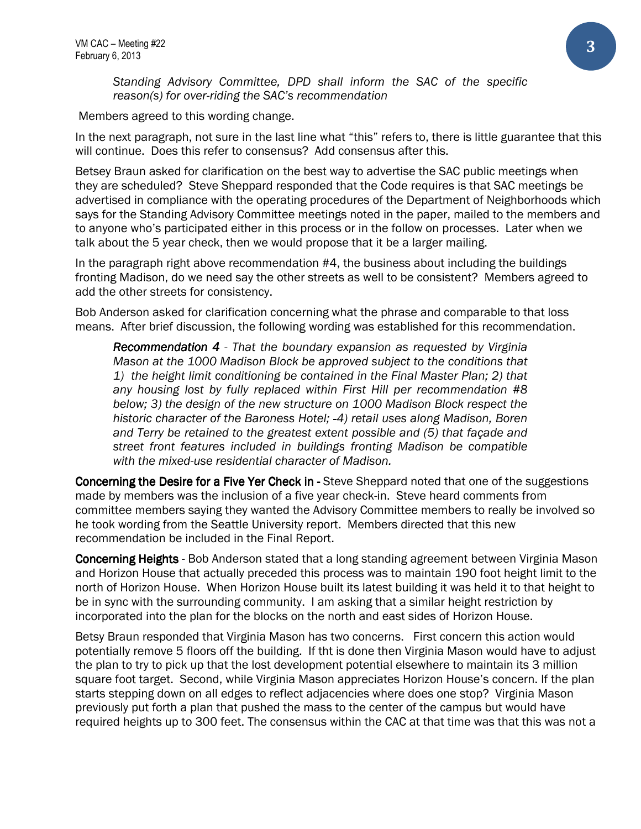Standing Advisory Committee, DPD shall inform the SAC of the specific reason(s) for over-riding the SAC's recommendation

Members agreed to this wording change.

In the next paragraph, not sure in the last line what "this" refers to, there is little guarantee that this will continue. Does this refer to consensus? Add consensus after this.

Betsey Braun asked for clarification on the best way to advertise the SAC public meetings when they are scheduled? Steve Sheppard responded that the Code requires is that SAC meetings be advertised in compliance with the operating procedures of the Department of Neighborhoods which says for the Standing Advisory Committee meetings noted in the paper, mailed to the members and to anyone who's participated either in this process or in the follow on processes. Later when we talk about the 5 year check, then we would propose that it be a larger mailing.

In the paragraph right above recommendation #4, the business about including the buildings fronting Madison, do we need say the other streets as well to be consistent? Members agreed to add the other streets for consistency.

Bob Anderson asked for clarification concerning what the phrase and comparable to that loss means. After brief discussion, the following wording was established for this recommendation.

Recommendation 4 - That the boundary expansion as requested by Virginia Mason at the 1000 Madison Block be approved subject to the conditions that 1) the height limit conditioning be contained in the Final Master Plan; 2) that any housing lost by fully replaced within First Hill per recommendation #8 below; 3) the design of the new structure on 1000 Madison Block respect the historic character of the Baroness Hotel; -4) retail uses along Madison, Boren and Terry be retained to the greatest extent possible and (5) that façade and street front features included in buildings fronting Madison be compatible with the mixed-use residential character of Madison.

**Concerning the Desire for a Five Yer Check in -** Steve Sheppard noted that one of the suggestions made by members was the inclusion of a five year check-in. Steve heard comments from committee members saying they wanted the Advisory Committee members to really be involved so he took wording from the Seattle University report. Members directed that this new recommendation be included in the Final Report.

**Concerning Heights** - Bob Anderson stated that a long standing agreement between Virginia Mason and Horizon House that actually preceded this process was to maintain 190 foot height limit to the north of Horizon House. When Horizon House built its latest building it was held it to that height to be in sync with the surrounding community. I am asking that a similar height restriction by incorporated into the plan for the blocks on the north and east sides of Horizon House.

Betsy Braun responded that Virginia Mason has two concerns. First concern this action would potentially remove 5 floors off the building. If tht is done then Virginia Mason would have to adjust the plan to try to pick up that the lost development potential elsewhere to maintain its 3 million square foot target. Second, while Virginia Mason appreciates Horizon House's concern. If the plan starts stepping down on all edges to reflect adjacencies where does one stop? Virginia Mason previously put forth a plan that pushed the mass to the center of the campus but would have required heights up to 300 feet. The consensus within the CAC at that time was that this was not a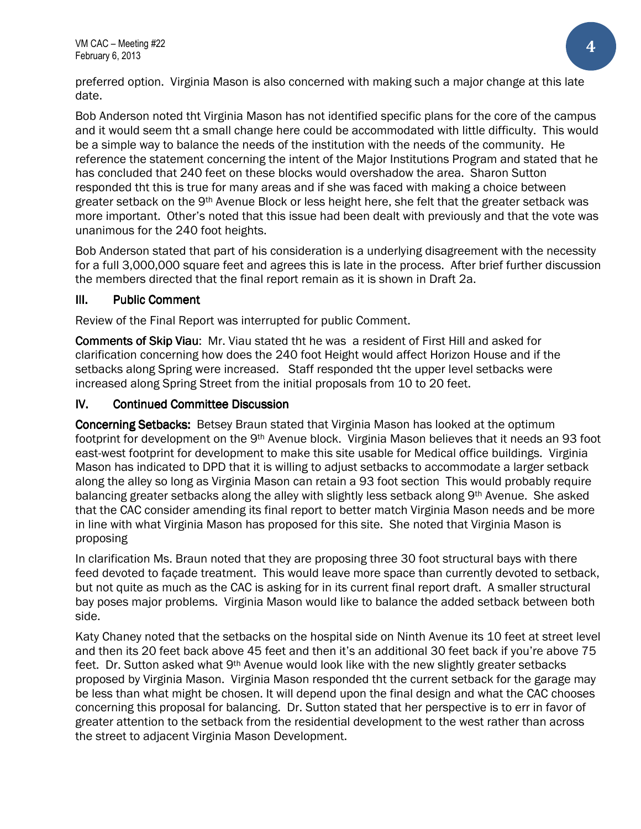preferred option. Virginia Mason is also concerned with making such a major change at this late date.

Bob Anderson noted tht Virginia Mason has not identified specific plans for the core of the campus and it would seem tht a small change here could be accommodated with little difficulty. This would be a simple way to balance the needs of the institution with the needs of the community. He reference the statement concerning the intent of the Major Institutions Program and stated that he has concluded that 240 feet on these blocks would overshadow the area. Sharon Sutton responded tht this is true for many areas and if she was faced with making a choice between greater setback on the 9<sup>th</sup> Avenue Block or less height here, she felt that the greater setback was more important. Other's noted that this issue had been dealt with previously and that the vote was unanimous for the 240 foot heights.

Bob Anderson stated that part of his consideration is a underlying disagreement with the necessity for a full 3,000,000 square feet and agrees this is late in the process. After brief further discussion the members directed that the final report remain as it is shown in Draft 2a.

### III. Public Comment

Review of the Final Report was interrupted for public Comment.

**Comments of Skip Viau:** Mr. Viau stated tht he was a resident of First Hill and asked for clarification concerning how does the 240 foot Height would affect Horizon House and if the setbacks along Spring were increased. Staff responded tht the upper level setbacks were increased along Spring Street from the initial proposals from 10 to 20 feet.

### IV. Continued Committee Discussion

**Concerning Setbacks:** Betsey Braun stated that Virginia Mason has looked at the optimum footprint for development on the 9th Avenue block. Virginia Mason believes that it needs an 93 foot east-west footprint for development to make this site usable for Medical office buildings. Virginia Mason has indicated to DPD that it is willing to adjust setbacks to accommodate a larger setback along the alley so long as Virginia Mason can retain a 93 foot section This would probably require balancing greater setbacks along the alley with slightly less setback along 9th Avenue. She asked that the CAC consider amending its final report to better match Virginia Mason needs and be more in line with what Virginia Mason has proposed for this site. She noted that Virginia Mason is proposing

In clarification Ms. Braun noted that they are proposing three 30 foot structural bays with there feed devoted to façade treatment. This would leave more space than currently devoted to setback, but not quite as much as the CAC is asking for in its current final report draft. A smaller structural bay poses major problems. Virginia Mason would like to balance the added setback between both side.

Katy Chaney noted that the setbacks on the hospital side on Ninth Avenue its 10 feet at street level and then its 20 feet back above 45 feet and then it's an additional 30 feet back if you're above 75 feet. Dr. Sutton asked what 9th Avenue would look like with the new slightly greater setbacks proposed by Virginia Mason. Virginia Mason responded tht the current setback for the garage may be less than what might be chosen. It will depend upon the final design and what the CAC chooses concerning this proposal for balancing. Dr. Sutton stated that her perspective is to err in favor of greater attention to the setback from the residential development to the west rather than across the street to adjacent Virginia Mason Development.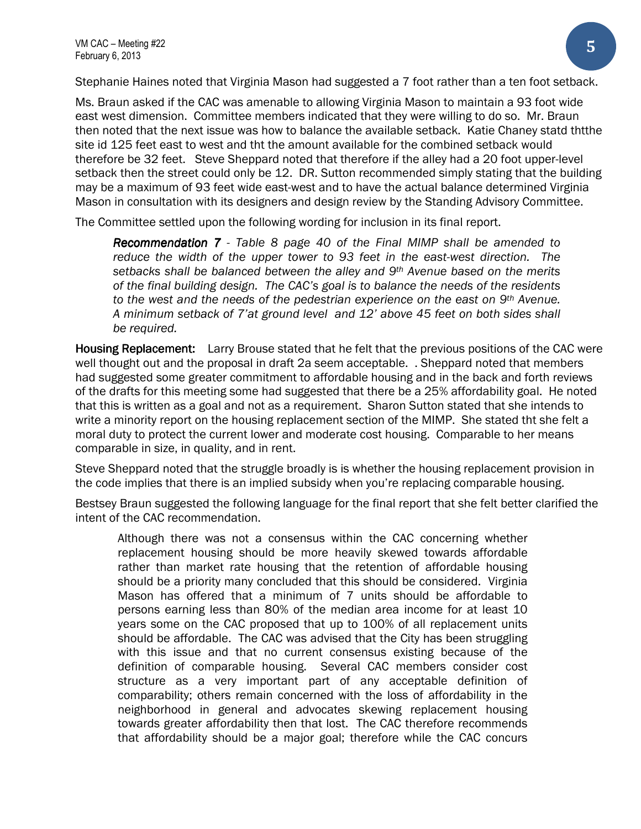Stephanie Haines noted that Virginia Mason had suggested a 7 foot rather than a ten foot setback.

Ms. Braun asked if the CAC was amenable to allowing Virginia Mason to maintain a 93 foot wide east west dimension. Committee members indicated that they were willing to do so. Mr. Braun then noted that the next issue was how to balance the available setback. Katie Chaney statd thtthe site id 125 feet east to west and tht the amount available for the combined setback would therefore be 32 feet. Steve Sheppard noted that therefore if the alley had a 20 foot upper-level setback then the street could only be 12. DR. Sutton recommended simply stating that the building may be a maximum of 93 feet wide east-west and to have the actual balance determined Virginia Mason in consultation with its designers and design review by the Standing Advisory Committee.

The Committee settled upon the following wording for inclusion in its final report.

**Recommendation 7** - Table 8 page 40 of the Final MIMP shall be amended to reduce the width of the upper tower to 93 feet in the east-west direction. The setbacks shall be balanced between the alley and 9<sup>th</sup> Avenue based on the merits of the final building design. The CAC's goal is to balance the needs of the residents to the west and the needs of the pedestrian experience on the east on 9<sup>th</sup> Avenue. A minimum setback of 7'at ground level and 12' above 45 feet on both sides shall be required.

Housing Replacement: Larry Brouse stated that he felt that the previous positions of the CAC were well thought out and the proposal in draft 2a seem acceptable. . Sheppard noted that members had suggested some greater commitment to affordable housing and in the back and forth reviews of the drafts for this meeting some had suggested that there be a 25% affordability goal. He noted that this is written as a goal and not as a requirement. Sharon Sutton stated that she intends to write a minority report on the housing replacement section of the MIMP. She stated tht she felt a moral duty to protect the current lower and moderate cost housing. Comparable to her means comparable in size, in quality, and in rent.

Steve Sheppard noted that the struggle broadly is is whether the housing replacement provision in the code implies that there is an implied subsidy when you're replacing comparable housing.

Bestsey Braun suggested the following language for the final report that she felt better clarified the intent of the CAC recommendation.

Although there was not a consensus within the CAC concerning whether replacement housing should be more heavily skewed towards affordable rather than market rate housing that the retention of affordable housing should be a priority many concluded that this should be considered. Virginia Mason has offered that a minimum of 7 units should be affordable to persons earning less than 80% of the median area income for at least 10 years some on the CAC proposed that up to 100% of all replacement units should be affordable. The CAC was advised that the City has been struggling with this issue and that no current consensus existing because of the definition of comparable housing. Several CAC members consider cost structure as a very important part of any acceptable definition of comparability; others remain concerned with the loss of affordability in the neighborhood in general and advocates skewing replacement housing towards greater affordability then that lost. The CAC therefore recommends that affordability should be a major goal; therefore while the CAC concurs